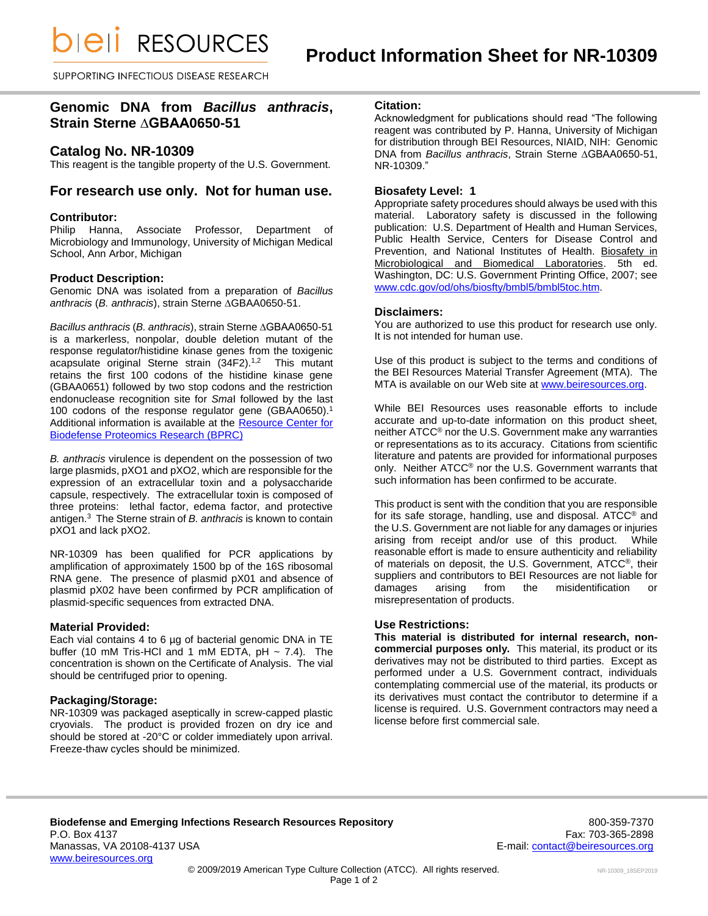*DIEII RESOURCES* 

SUPPORTING INFECTIOUS DISEASE RESEARCH

# **Genomic DNA from** *Bacillus anthracis***, Strain Sterne ∆GBAA0650-51**

### **Catalog No. NR-10309**

This reagent is the tangible property of the U.S. Government.

## **For research use only. Not for human use.**

### **Contributor:**

Philip Hanna, Associate Professor, Department of Microbiology and Immunology, University of Michigan Medical School, Ann Arbor, Michigan

### **Product Description:**

Genomic DNA was isolated from a preparation of *Bacillus anthracis* (*B. anthracis*), strain Sterne ∆GBAA0650-51.

*Bacillus anthracis* (*B. anthracis*), strain Sterne ∆GBAA0650-51 is a markerless, nonpolar, double deletion mutant of the response regulator/histidine kinase genes from the toxigenic acapsulate original Sterne strain (34F2).<sup>1,2</sup> This mutant retains the first 100 codons of the histidine kinase gene (GBAA0651) followed by two stop codons and the restriction endonuclease recognition site for *Sma*I followed by the last 100 codons of the response regulator gene (GBAA0650).<sup>1</sup> Additional information is available at the [Resource Center for](http://pir.georgetown.edu/cgi-bin/textsearch_cat_ra.pl?datatype=bacteria&search=1&field0=ID&query0=NR-10005)  [Biodefense Proteomics Research \(BPRC\)](http://pir.georgetown.edu/cgi-bin/textsearch_cat_ra.pl?datatype=bacteria&search=1&field0=ID&query0=NR-10005)

*B. anthracis* virulence is dependent on the possession of two large plasmids, pXO1 and pXO2, which are responsible for the expression of an extracellular toxin and a polysaccharide capsule, respectively. The extracellular toxin is composed of three proteins: lethal factor, edema factor, and protective antigen.<sup>3</sup> The Sterne strain of *B. anthracis* is known to contain pXO1 and lack pXO2.

NR-10309 has been qualified for PCR applications by amplification of approximately 1500 bp of the 16S ribosomal RNA gene. The presence of plasmid pX01 and absence of plasmid pX02 have been confirmed by PCR amplification of plasmid-specific sequences from extracted DNA.

### **Material Provided:**

Each vial contains 4 to 6 µg of bacterial genomic DNA in TE buffer (10 mM Tris-HCl and 1 mM EDTA,  $pH \sim 7.4$ ). The concentration is shown on the Certificate of Analysis. The vial should be centrifuged prior to opening.

### **Packaging/Storage:**

NR-10309 was packaged aseptically in screw-capped plastic cryovials. The product is provided frozen on dry ice and should be stored at -20°C or colder immediately upon arrival. Freeze-thaw cycles should be minimized.

#### **Citation:**

Acknowledgment for publications should read "The following reagent was contributed by P. Hanna, University of Michigan for distribution through BEI Resources, NIAID, NIH: Genomic DNA from *Bacillus anthracis*, Strain Sterne ∆GBAA0650-51, NR-10309."

### **Biosafety Level: 1**

Appropriate safety procedures should always be used with this material. Laboratory safety is discussed in the following publication: U.S. Department of Health and Human Services, Public Health Service, Centers for Disease Control and Prevention, and National Institutes of Health. Biosafety in Microbiological and Biomedical Laboratories. 5th ed. Washington, DC: U.S. Government Printing Office, 2007; see [www.cdc.gov/od/ohs/biosfty/bmbl5/bmbl5toc.htm.](http://www.cdc.gov/od/ohs/biosfty/bmbl5/bmbl5toc.htm)

### **Disclaimers:**

You are authorized to use this product for research use only. It is not intended for human use.

Use of this product is subject to the terms and conditions of the BEI Resources Material Transfer Agreement (MTA). The MTA is available on our Web site at [www.beiresources.org.](http://www.beiresources.org/)

While BEI Resources uses reasonable efforts to include accurate and up-to-date information on this product sheet, neither ATCC® nor the U.S. Government make any warranties or representations as to its accuracy. Citations from scientific literature and patents are provided for informational purposes only. Neither ATCC® nor the U.S. Government warrants that such information has been confirmed to be accurate.

This product is sent with the condition that you are responsible for its safe storage, handling, use and disposal. ATCC® and the U.S. Government are not liable for any damages or injuries arising from receipt and/or use of this product. While reasonable effort is made to ensure authenticity and reliability of materials on deposit, the U.S. Government, ATCC®, their suppliers and contributors to BEI Resources are not liable for damages arising from the misidentification or misrepresentation of products.

### **Use Restrictions:**

**This material is distributed for internal research, noncommercial purposes only.** This material, its product or its derivatives may not be distributed to third parties. Except as performed under a U.S. Government contract, individuals contemplating commercial use of the material, its products or its derivatives must contact the contributor to determine if a license is required. U.S. Government contractors may need a license before first commercial sale.

Page 1 of 2